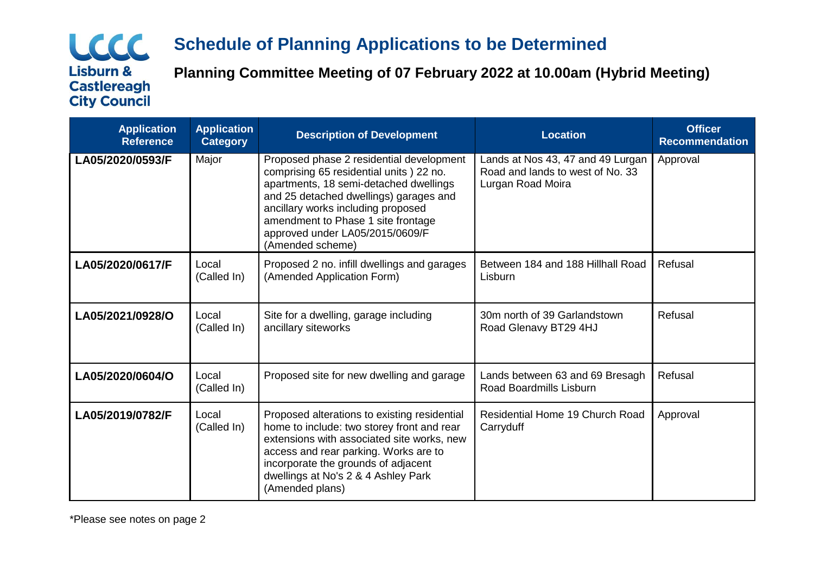## LCCC **Lisburn & Castlereagh City Council**

# **Schedule of Planning Applications to be Determined**

**Planning Committee Meeting of 07 February 2022 at 10.00am (Hybrid Meeting)**

| <b>Application</b><br><b>Reference</b> | <b>Application</b><br><b>Category</b> | <b>Description of Development</b>                                                                                                                                                                                                                                                                           | <b>Location</b>                                                                            | <b>Officer</b><br><b>Recommendation</b> |
|----------------------------------------|---------------------------------------|-------------------------------------------------------------------------------------------------------------------------------------------------------------------------------------------------------------------------------------------------------------------------------------------------------------|--------------------------------------------------------------------------------------------|-----------------------------------------|
| LA05/2020/0593/F                       | Major                                 | Proposed phase 2 residential development<br>comprising 65 residential units ) 22 no.<br>apartments, 18 semi-detached dwellings<br>and 25 detached dwellings) garages and<br>ancillary works including proposed<br>amendment to Phase 1 site frontage<br>approved under LA05/2015/0609/F<br>(Amended scheme) | Lands at Nos 43, 47 and 49 Lurgan<br>Road and lands to west of No. 33<br>Lurgan Road Moira | Approval                                |
| LA05/2020/0617/F                       | Local<br>(Called In)                  | Proposed 2 no. infill dwellings and garages<br>(Amended Application Form)                                                                                                                                                                                                                                   | Between 184 and 188 Hillhall Road<br>Lisburn                                               | Refusal                                 |
| LA05/2021/0928/O                       | Local<br>(Called In)                  | Site for a dwelling, garage including<br>ancillary siteworks                                                                                                                                                                                                                                                | 30m north of 39 Garlandstown<br>Road Glenavy BT29 4HJ                                      | Refusal                                 |
| LA05/2020/0604/O                       | Local<br>(Called In)                  | Proposed site for new dwelling and garage                                                                                                                                                                                                                                                                   | Lands between 63 and 69 Bresagh<br>Road Boardmills Lisburn                                 | Refusal                                 |
| LA05/2019/0782/F                       | Local<br>(Called In)                  | Proposed alterations to existing residential<br>home to include: two storey front and rear<br>extensions with associated site works, new<br>access and rear parking. Works are to<br>incorporate the grounds of adjacent<br>dwellings at No's 2 & 4 Ashley Park<br>(Amended plans)                          | Residential Home 19 Church Road<br>Carryduff                                               | Approval                                |

\*Please see notes on page 2